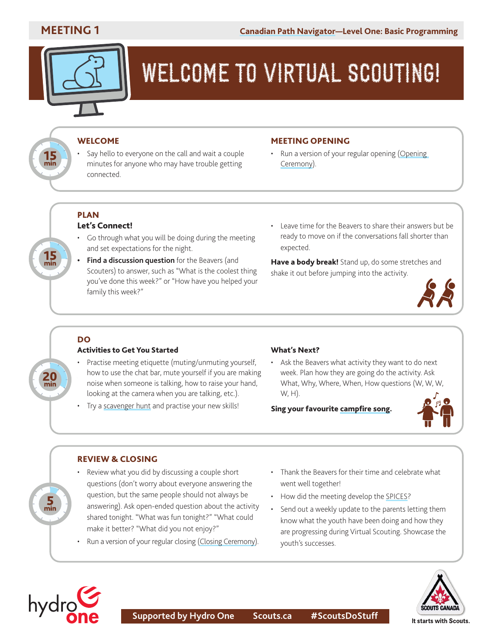

# WELCOME TO VIRTUAL SCOUTING!

#### WELCOME

Say hello to everyone on the call and wait a couple minutes for anyone who may have trouble getting connected.

#### MEETING OPENING

• Run a version of your regular opening ([Opening](https://scoutsca.s3.amazonaws.com/2019/01/scouter-manual.pdf#page=64) [Ceremony](https://scoutsca.s3.amazonaws.com/2019/01/scouter-manual.pdf#page=64)).

#### **PLAN** Let's Connect!

- Go through what you will be doing during the meeting and set expectations for the night.
- **• Find a discussion question** for the Beavers (and Scouters) to answer, such as "What is the coolest thing you've done this week?" or "How have you helped your family this week?"
- Leave time for the Beavers to share their answers but be ready to move on if the conversations fall shorter than expected.

Have a body break! Stand up, do some stretches and shake it out before jumping into the activity.



### DO

 $20$ <sub>min</sub>

 $\frac{5}{2}$ 

 $15$ <sub>min</sub>

#### Activities to Get You Started

- Practise meeting etiquette (muting/unmuting yourself, how to use the chat bar, mute yourself if you are making noise when someone is talking, how to raise your hand, looking at the camera when you are talking, etc.).
- Try a [scavenger hunt](https://scoutsca.s3.amazonaws.com/2020/05/tc-on-the-scavenger-hunt.pdf) and practise your new skills!

#### What's Next?

Ask the Beavers what activity they want to do next week. Plan how they are going do the activity. Ask What, Why, Where, When, How questions (W, W, W, W, H).

Sing your favourite [campfire song](https://www.scoutshop.ca/products/book-campfire?_pos=1&_sid=1cfc36ff5&_ss=r).



#### REVIEW & CLOSING

- Review what you did by discussing a couple short questions (don't worry about everyone answering the question, but the same people should not always be answering). Ask open-ended question about the activity shared tonight. "What was fun tonight?" "What could make it better? "What did you not enjoy?"
- Run a version of your regular closing [\(Closing Ceremony\)](https://scoutsca.s3.amazonaws.com/2019/01/scouter-manual.pdf#page=65).
- Thank the Beavers for their time and celebrate what went well together!
- How did the meeting develop the [SPICES](https://www.scouts.ca/programs/canadian-path/about/the-four-elements.html)?
- Send out a weekly update to the parents letting them know what the youth have been doing and how they are progressing during Virtual Scouting. Showcase the youth's successes.



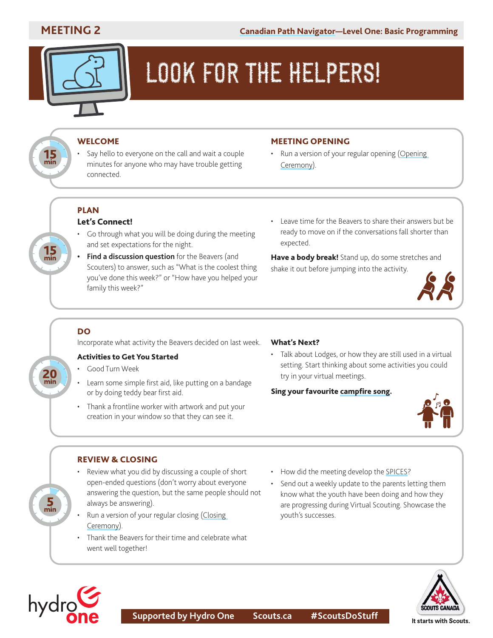

# LOOK FOR THE HELPERS!

#### WELCOME

Say hello to everyone on the call and wait a couple minutes for anyone who may have trouble getting connected.

#### MEETING OPENING

• Run a version of your regular opening ([Opening](https://scoutsca.s3.amazonaws.com/2019/01/scouter-manual.pdf#page=64) [Ceremony](https://scoutsca.s3.amazonaws.com/2019/01/scouter-manual.pdf#page=64)).

#### PLAN Let's Connect!

- Go through what you will be doing during the meeting and set expectations for the night.
- **• Find a discussion question** for the Beavers (and Scouters) to answer, such as "What is the coolest thing you've done this week?" or "How have you helped your family this week?"
- Leave time for the Beavers to share their answers but be ready to move on if the conversations fall shorter than expected.

Have a body break! Stand up, do some stretches and shake it out before jumping into the activity.



#### DO

20

ج<br>min

 $15$ <sub>min</sub>

15<br>min

Incorporate what activity the Beavers decided on last week.

#### Activities to Get You Started

- Good Turn Week
- Learn some simple first aid, like putting on a bandage or by doing teddy bear first aid.
- Thank a frontline worker with artwork and put your creation in your window so that they can see it.

#### What's Next?

• Talk about Lodges, or how they are still used in a virtual setting. Start thinking about some activities you could try in your virtual meetings.

#### Sing your favourite [campfire song](https://www.scoutshop.ca/products/book-campfire?_pos=1&_sid=1cfc36ff5&_ss=r).



#### REVIEW & CLOSING

- Review what you did by discussing a couple of short open-ended questions (don't worry about everyone answering the question, but the same people should not always be answering).
- Run a version of your regular closing [\(Closing](https://scoutsca.s3.amazonaws.com/2019/01/scouter-manual.pdf#page=65) [Ceremony\)](https://scoutsca.s3.amazonaws.com/2019/01/scouter-manual.pdf#page=65).
- Thank the Beavers for their time and celebrate what went well together!
- How did the meeting develop the [SPICES](https://www.scouts.ca/programs/canadian-path/about/the-four-elements.html)?
- Send out a weekly update to the parents letting them know what the youth have been doing and how they are progressing during Virtual Scouting. Showcase the youth's successes.



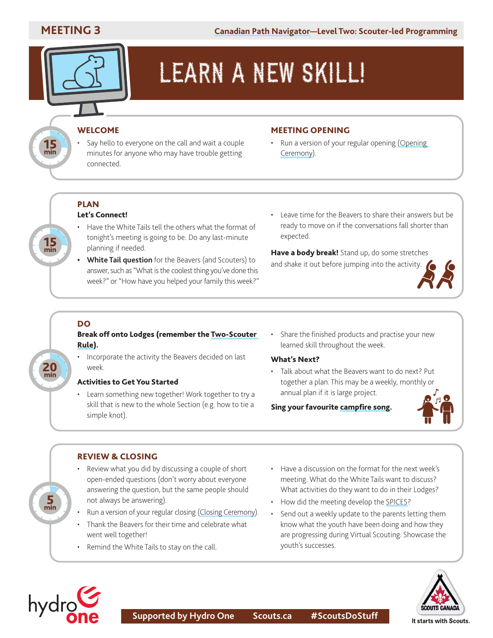

# LEARN A NEW SKILL!

#### **WELCOME**

Say hello to everyone on the call and wait a couple minutes for anyone who may have trouble getting connected.

#### MEETING OPENING

Run a version of your regular opening ([Opening](https://scoutsca.s3.amazonaws.com/2019/01/scouter-manual.pdf#page=64) [Ceremony](https://scoutsca.s3.amazonaws.com/2019/01/scouter-manual.pdf#page=64)).

#### PLAN Let's Connect!

- Have the White Tails tell the others what the format of tonight's meeting is going to be. Do any last-minute planning if needed.
- **• White Tail question** for the Beavers (and Scouters) to answer, such as "What is the coolest thing you've done this week?" or "How have you helped your family this week?"
- Leave time for the Beavers to share their answers but be ready to move on if the conversations fall shorter than expected.

Have a body break! Stand up, do some stretches and shake it out before jumping into the activity.



#### DO

20

 $\frac{5}{2}$ 

 $\frac{15}{\text{min}}$ 

15<br>min

#### Break off onto Lodges (remember the [Two-Scouter](https://scoutsca.s3.amazonaws.com/2019/05/two-scouter-rule.pdf)  [Rule](https://scoutsca.s3.amazonaws.com/2019/05/two-scouter-rule.pdf)).

Incorporate the activity the Beavers decided on last week.

#### Activities to Get You Started

- Learn something new together! Work together to try a skill that is new to the whole Section (e.g. how to tie a simple knot).
- Share the finished products and practise your new learned skill throughout the week.

#### What's Next?

• Talk about what the Beavers want to do next? Put together a plan. This may be a weekly, monthly or annual plan if it is large project.

Sing your favourite [campfire song](https://www.scoutshop.ca/products/book-campfire?_pos=1&_sid=1cfc36ff5&_ss=r).



#### REVIEW & CLOSING

- Review what you did by discussing a couple of short open-ended questions (don't worry about everyone answering the question, but the same people should not always be answering).
- Run a version of your regular closing [\(Closing Ceremony\)](https://scoutsca.s3.amazonaws.com/2019/01/scouter-manual.pdf#page=65).
- Thank the Beavers for their time and celebrate what went well together!
- Remind the White Tails to stay on the call.
- Have a discussion on the format for the next week's meeting. What do the White Tails want to discuss? What activities do they want to do in their Lodges?
- How did the meeting develop the [SPICES](https://www.scouts.ca/programs/canadian-path/about/the-four-elements.html)?
- Send out a weekly update to the parents letting them know what the youth have been doing and how they are progressing during Virtual Scouting. Showcase the youth's successes.



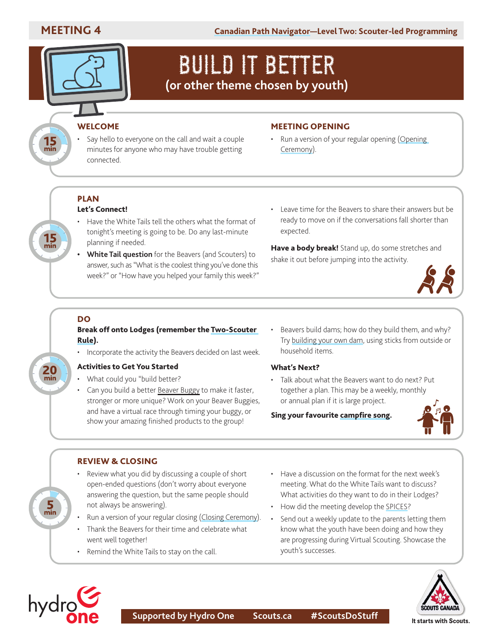$15 m$ 

**MEETING 4 [Canadian Path Navigator](https://www.scouts.ca/resources/program-resources/canadian-path-navigator.html)—Level Two: Scouter-led Programming**

## BUILD IT BETTER **(or other theme chosen by youth)**

#### **WELCOME**

Say hello to everyone on the call and wait a couple minutes for anyone who may have trouble getting connected.

#### MEETING OPENING

• Run a version of your regular opening ([Opening](https://scoutsca.s3.amazonaws.com/2019/01/scouter-manual.pdf#page=64) [Ceremony](https://scoutsca.s3.amazonaws.com/2019/01/scouter-manual.pdf#page=64)).

#### PLAN Let's Connect!

- Have the White Tails tell the others what the format of tonight's meeting is going to be. Do any last-minute planning if needed.
- **• White Tail question** for the Beavers (and Scouters) to answer, such as "What is the coolest thing you've done this week?" or "How have you helped your family this week?"
- Leave time for the Beavers to share their answers but be ready to move on if the conversations fall shorter than expected.

Have a body break! Stand up, do some stretches and shake it out before jumping into the activity.



#### DO

20<br><sub>min</sub>

 $\frac{5}{2}$ 

#### Break off onto Lodges (remember the [Two-Scouter](https://scoutsca.s3.amazonaws.com/2019/05/two-scouter-rule.pdf)  [Rule](https://scoutsca.s3.amazonaws.com/2019/05/two-scouter-rule.pdf)).

• Incorporate the activity the Beavers decided on last week.

#### Activities to Get You Started

- What could you "build better?
- Can you build a better [Beaver Buggy](https://www.scouts.ca/resources/activity-finder/activity-finder/fastest-vehicle-ever.html) to make it faster, stronger or more unique? Work on your Beaver Buggies, and have a virtual race through timing your buggy, or show your amazing finished products to the group!
- Beavers build dams; how do they build them, and why? Try [building your own dam,](https://www.scouts.ca/resources/activity-finder/activity-finder/build-a-dam.html) using sticks from outside or household items.

#### What's Next?

• Talk about what the Beavers want to do next? Put together a plan. This may be a weekly, monthly or annual plan if it is large project.

#### Sing your favourite [campfire song](https://www.scoutshop.ca/products/book-campfire?_pos=1&_sid=1cfc36ff5&_ss=r).



#### REVIEW & CLOSING

- Review what you did by discussing a couple of short open-ended questions (don't worry about everyone answering the question, but the same people should not always be answering).
- Run a version of your regular closing [\(Closing Ceremony](https://scoutsca.s3.amazonaws.com/2019/01/scouter-manual.pdf#page=65)).
- Thank the Beavers for their time and celebrate what went well together!
- Remind the White Tails to stay on the call.
- Have a discussion on the format for the next week's meeting. What do the White Tails want to discuss? What activities do they want to do in their Lodges?
- How did the meeting develop the [SPICES](https://www.scouts.ca/programs/canadian-path/about/the-four-elements.html)?
- Send out a weekly update to the parents letting them know what the youth have been doing and how they are progressing during Virtual Scouting. Showcase the youth's successes.



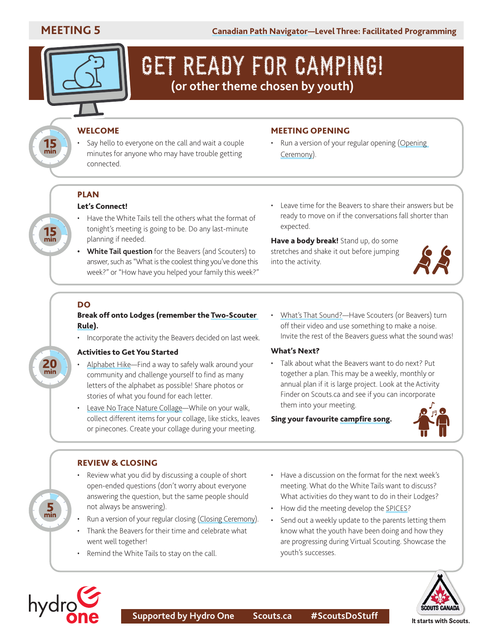**15**<br>min

**15**<br>min

## GET READY FOR CAMPING! **(or other theme chosen by youth)**

#### **WELCOME**

Say hello to everyone on the call and wait a couple minutes for anyone who may have trouble getting connected.

#### MEETING OPENING

• Run a version of your regular opening ([Opening](https://scoutsca.s3.amazonaws.com/2019/01/scouter-manual.pdf#page=64) [Ceremony](https://scoutsca.s3.amazonaws.com/2019/01/scouter-manual.pdf#page=64)).

### **PLAN**

#### Let's Connect!

- Have the White Tails tell the others what the format of tonight's meeting is going to be. Do any last-minute planning if needed.
- **• White Tail question** for the Beavers (and Scouters) to answer, such as "What is the coolest thing you've done this week?" or "How have you helped your family this week?"
- Leave time for the Beavers to share their answers but be ready to move on if the conversations fall shorter than expected.

Have a body break! Stand up, do some stretches and shake it out before jumping into the activity.



#### DO

20<sub>min</sub>

 $\frac{5}{2}$ 

hydrg

#### Break off onto Lodges (remember the [Two-Scouter](https://scoutsca.s3.amazonaws.com/2019/05/two-scouter-rule.pdf)  [Rule](https://scoutsca.s3.amazonaws.com/2019/05/two-scouter-rule.pdf)).

• Incorporate the activity the Beavers decided on last week.

#### Activities to Get You Started

- [Alphabet Hike—](https://www.scouts.ca/resources/activity-finder/activity-finder/alphabet-hike.html)Find a way to safely walk around your community and challenge yourself to find as many letters of the alphabet as possible! Share photos or stories of what you found for each letter.
- [Leave No Trace Nature Collage](https://www.scouts.ca/resources/activity-finder/activity-finder/leave-no-trace-nature-collage.html)—While on your walk, collect different items for your collage, like sticks, leaves or pinecones. Create your collage during your meeting.
- [What's That Sound?—](https://www.scouts.ca/resources/activity-finder/whats-that-sound.html)Have Scouters (or Beavers) turn off their video and use something to make a noise. Invite the rest of the Beavers guess what the sound was!

#### What's Next?

Talk about what the Beavers want to do next? Put together a plan. This may be a weekly, monthly or annual plan if it is large project. Look at the [Activity](https://www.scouts.ca/resources/program-resources/trail-cards/beaver-scouts.html)  Finder [on Scouts.ca](https://www.scouts.ca/resources/program-resources/trail-cards/beaver-scouts.html) and see if you can incorporate them into your meeting.

#### Sing your favourite [campfire song](https://www.scoutshop.ca/products/book-campfire?_pos=1&_sid=1cfc36ff5&_ss=r).



#### REVIEW & CLOSING

- Review what you did by discussing a couple of short open-ended questions (don't worry about everyone answering the question, but the same people should not always be answering).
- Run a version of your regular closing [\(Closing Ceremony\)](https://scoutsca.s3.amazonaws.com/2019/01/scouter-manual.pdf#page=65).
- Thank the Beavers for their time and celebrate what went well together!
- Remind the White Tails to stay on the call.
- Have a discussion on the format for the next week's meeting. What do the White Tails want to discuss? What activities do they want to do in their Lodges?
- How did the meeting develop the [SPICES](https://www.scouts.ca/programs/canadian-path/about/the-four-elements.html)?
- Send out a weekly update to the parents letting them know what the youth have been doing and how they are progressing during Virtual Scouting. Showcase the youth's successes.

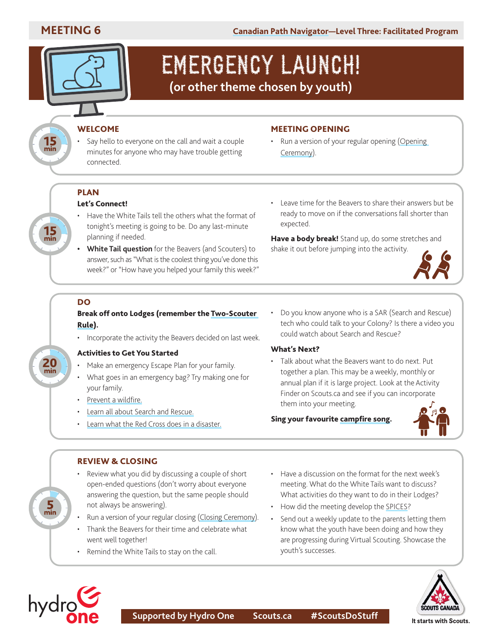$15$ <sub>min</sub>

 $15$ <sub>min</sub>



## EMERGENCY LAUNCH! **(or other theme chosen by youth)**

### WELCOME

Say hello to everyone on the call and wait a couple minutes for anyone who may have trouble getting connected.

#### MEETING OPENING

• Run a version of your regular opening ([Opening](https://scoutsca.s3.amazonaws.com/2019/01/scouter-manual.pdf#page=64) [Ceremony](https://scoutsca.s3.amazonaws.com/2019/01/scouter-manual.pdf#page=64)).

## PLAN

#### Let's Connect!

- Have the White Tails tell the others what the format of tonight's meeting is going to be. Do any last-minute planning if needed.
- **• White Tail question** for the Beavers (and Scouters) to answer, such as "What is the coolest thing you've done this week?" or "How have you helped your family this week?"
- Leave time for the Beavers to share their answers but be ready to move on if the conversations fall shorter than expected.

Have a body break! Stand up, do some stretches and shake it out before jumping into the activity.



#### DO

 $20$ <sub>min</sub>

 $\frac{5}{2}$ 

#### Break off onto Lodges (remember the [Two-Scouter](https://scoutsca.s3.amazonaws.com/2019/05/two-scouter-rule.pdf)  [Rule](https://scoutsca.s3.amazonaws.com/2019/05/two-scouter-rule.pdf)).

• Incorporate the activity the Beavers decided on last week.

#### Activities to Get You Started

- Make an emergency Escape Plan for your family.
- What goes in an emergency bag? Try making one for your family.
- [Prevent a wildfire.](https://www.scouts.ca/resources/activity-finder/prevent-a-wildfire.html)
- [Learn all about Search and Rescue.](https://sarvac.ca/)
- [Learn what the Red Cross does in a disaster.](https://www.redcross.ca/)

• Do you know anyone who is a SAR (Search and Rescue) tech who could talk to your Colony? Is there a video you could watch about Search and Rescue?

#### What's Next?

• Talk about what the Beavers want to do next. Put together a plan. This may be a weekly, monthly or annual plan if it is large project. Look at the [Activity](https://www.scouts.ca/resources/program-resources/trail-cards/beaver-scouts.html)  Finder on Scouts.ca and see if you can incorporate them into your meeting.

Sing your favourite [campfire song](https://www.scoutshop.ca/products/book-campfire?_pos=1&_sid=1cfc36ff5&_ss=r).



#### REVIEW & CLOSING

- Review what you did by discussing a couple of short open-ended questions (don't worry about everyone answering the question, but the same people should not always be answering).
- Run a version of your regular closing [\(Closing Ceremony\)](https://scoutsca.s3.amazonaws.com/2019/01/scouter-manual.pdf#page=65).
- Thank the Beavers for their time and celebrate what went well together!
- Remind the White Tails to stay on the call.
- Have a discussion on the format for the next week's meeting. What do the White Tails want to discuss? What activities do they want to do in their Lodges?
- How did the meeting develop the [SPICES](https://www.scouts.ca/programs/canadian-path/about/the-four-elements.html)?
- Send out a weekly update to the parents letting them know what the youth have been doing and how they are progressing during Virtual Scouting. Showcase the youth's successes.



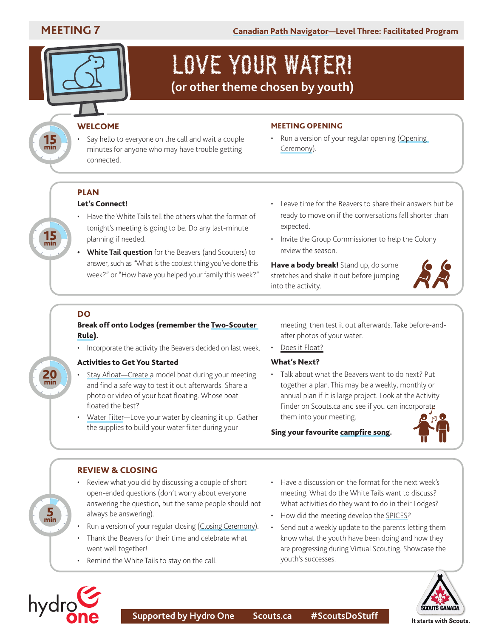$15 \text{ min}$ 

 $15 m$ 



## LOVE YOUR WATER! **(or other theme chosen by youth)**

### **WELCOME**

Say hello to everyone on the call and wait a couple minutes for anyone who may have trouble getting connected.

#### MEETING OPENING

• Run a version of your regular opening ([Opening](https://scoutsca.s3.amazonaws.com/2019/01/scouter-manual.pdf#page=64) [Ceremony](https://scoutsca.s3.amazonaws.com/2019/01/scouter-manual.pdf#page=64)).

## PLAN

### Let's Connect!

- Have the White Tails tell the others what the format of tonight's meeting is going to be. Do any last-minute planning if needed.
- **• White Tail question** for the Beavers (and Scouters) to answer, such as "What is the coolest thing you've done this week?" or "How have you helped your family this week?"
- Leave time for the Beavers to share their answers but be ready to move on if the conversations fall shorter than expected.
- Invite the Group Commissioner to help the Colony review the season.

Have a body break! Stand up, do some stretches and shake it out before jumping into the activity.



### DO

20

#### Break off onto Lodges (remember the [Two-Scouter](https://scoutsca.s3.amazonaws.com/2019/05/two-scouter-rule.pdf)  [Rule](https://scoutsca.s3.amazonaws.com/2019/05/two-scouter-rule.pdf)).

• Incorporate the activity the Beavers decided on last week.

#### Activities to Get You Started

- Stay Afloat—Create a model boat during your meeting and find a safe way to test it out afterwards. Share a photo or video of your boat floating. Whose boat floated the best?
- • [Water Filter—](https://www.scouts.ca/resources/activity-finder/activity-finder/water-filter.html)Love your water by cleaning it up! Gather the supplies to build your water filter during your

meeting, then test it out afterwards. Take before-andafter photos of your water.

Doesit Float?

#### What's Next?

Talk about what the Beavers want to do next? Put together a plan. This may be a weekly, monthly or annual plan if it is large project. Look at the [Activity](https://www.scouts.ca/resources/program-resources/trail-cards/beaver-scouts.html)  Finder on Scouts.ca and see if you can incorporate them into your meeting.

Sing your favourite [campfire song](https://www.scoutshop.ca/products/book-campfire?_pos=1&_sid=1cfc36ff5&_ss=r).



#### REVIEW & CLOSING

- Review what you did by discussing a couple of short open-ended questions (don't worry about everyone answering the question, but the same people should not always be answering).
- Run a version of your regular closing [\(Closing Ceremony\)](https://scoutsca.s3.amazonaws.com/2019/01/scouter-manual.pdf#page=65).
- Thank the Beavers for their time and celebrate what went well together!
- Remind the White Tails to stay on the call.
- Have a discussion on the format for the next week's meeting. What do the White Tails want to discuss? What activities do they want to do in their Lodges?
- How did the meeting develop the [SPICES](https://www.scouts.ca/programs/canadian-path/about/the-four-elements.html)?
- Send out a weekly update to the parents letting them know what the youth have been doing and how they are progressing during Virtual Scouting. Showcase the youth's successes.